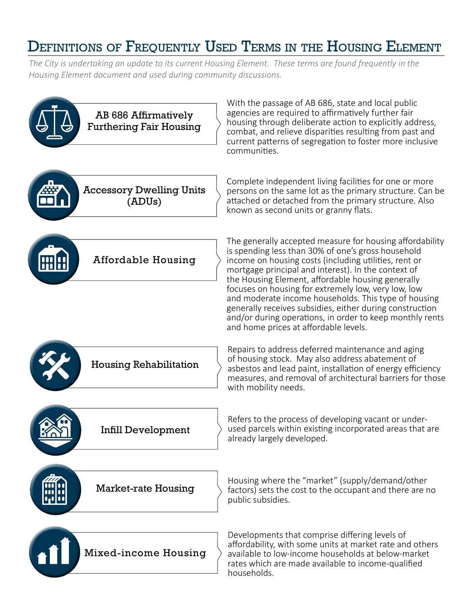## DEFINITIONS OF FREQUENTLY USED TERMS IN THE HOUSING ELEMENT

*The City is undertaking an update to its current Housing Element. These terms are found frequently in the Housing Element document and used during community discussions.*